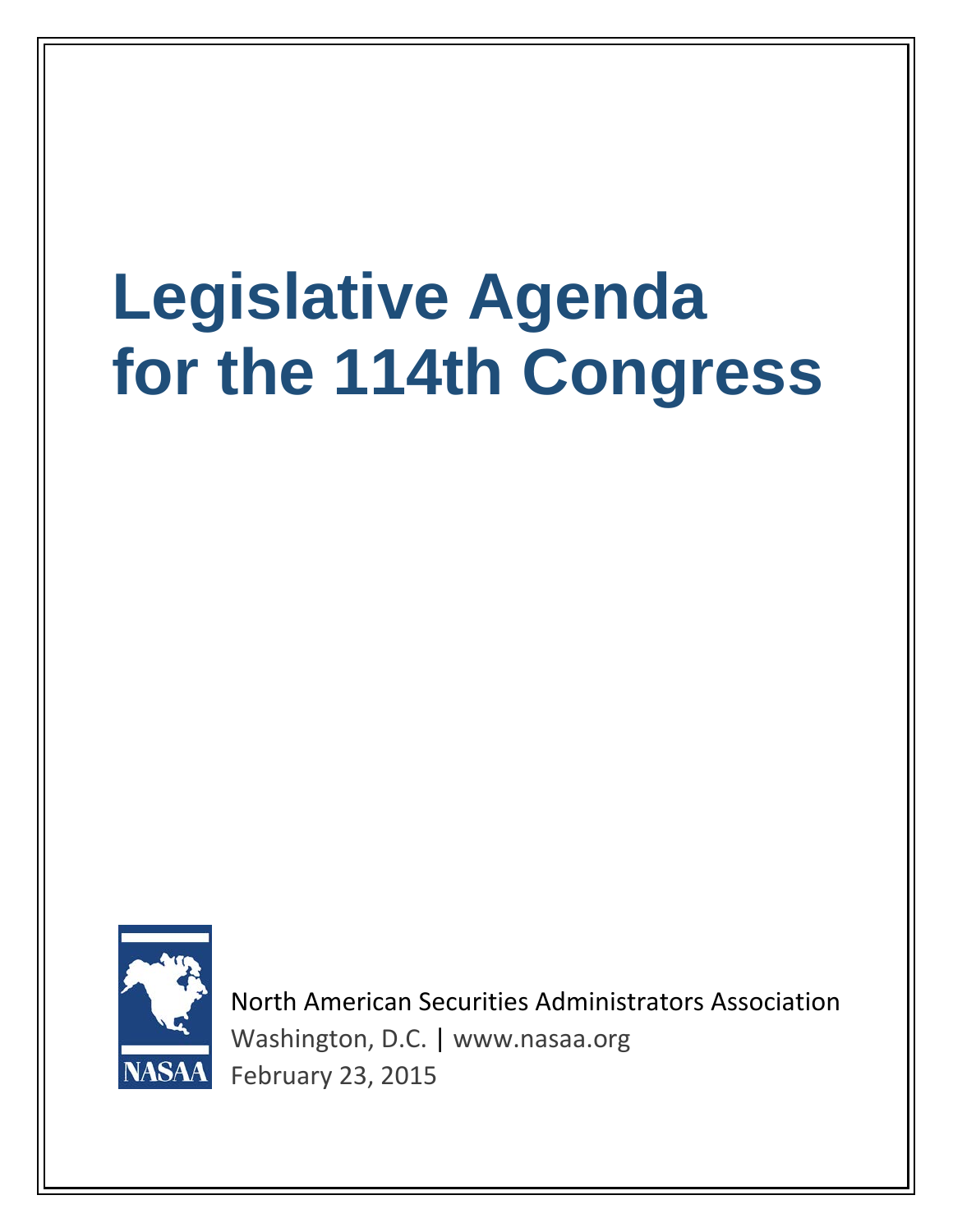# **Legislative Agenda for the 114th Congress**



North American Securities Administrators Association Washington, D.C. | www.nasaa.org February 23, 2015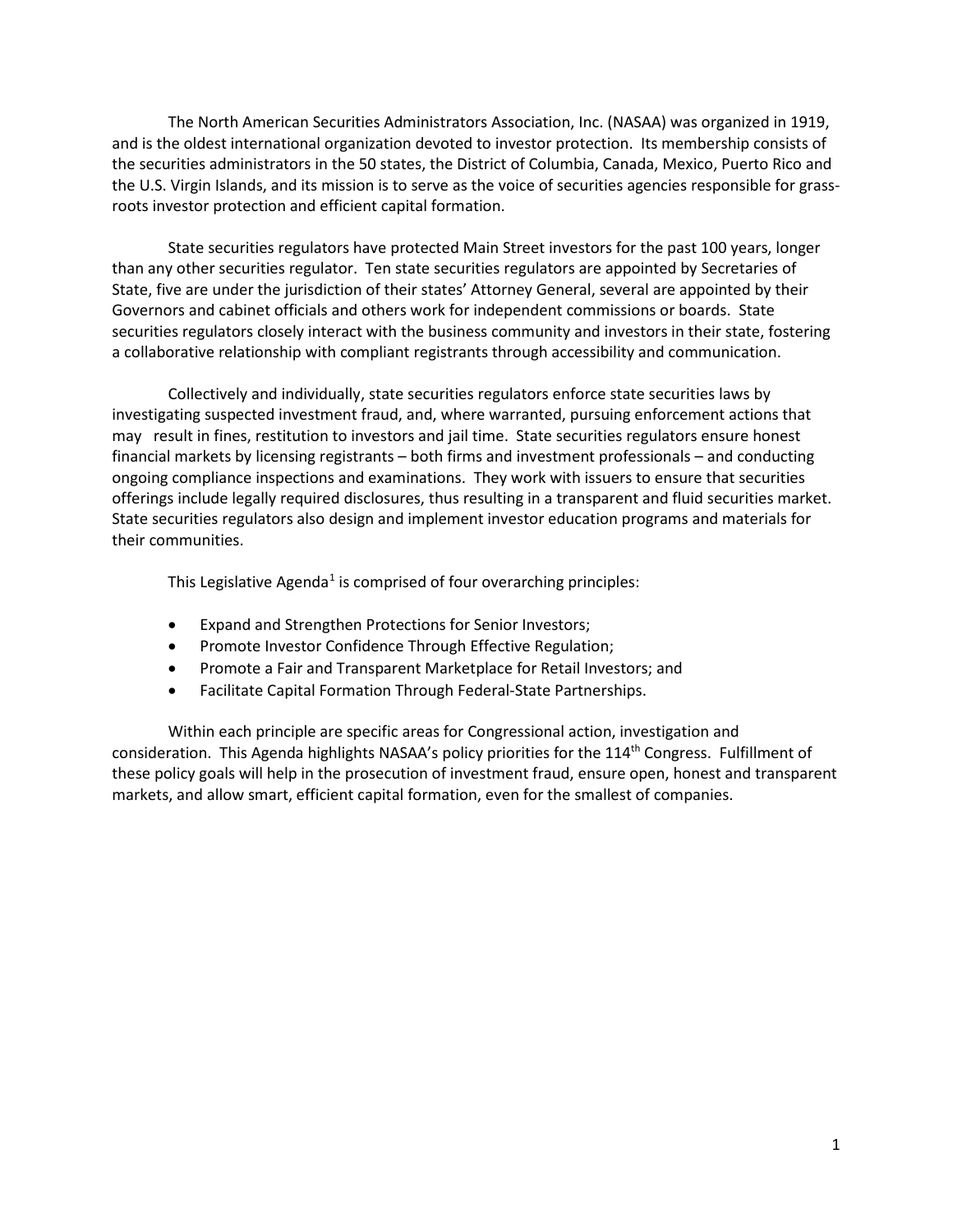The North American Securities Administrators Association, Inc. (NASAA) was organized in 1919, and is the oldest international organization devoted to investor protection. Its membership consists of the securities administrators in the 50 states, the District of Columbia, Canada, Mexico, Puerto Rico and the U.S. Virgin Islands, and its mission is to serve as the voice of securities agencies responsible for grassroots investor protection and efficient capital formation.

State securities regulators have protected Main Street investors for the past 100 years, longer than any other securities regulator. Ten state securities regulators are appointed by Secretaries of State, five are under the jurisdiction of their states' Attorney General, several are appointed by their Governors and cabinet officials and others work for independent commissions or boards. State securities regulators closely interact with the business community and investors in their state, fostering a collaborative relationship with compliant registrants through accessibility and communication.

Collectively and individually, state securities regulators enforce state securities laws by investigating suspected investment fraud, and, where warranted, pursuing enforcement actions that may result in fines, restitution to investors and jail time. State securities regulators ensure honest financial markets by licensing registrants – both firms and investment professionals – and conducting ongoing compliance inspections and examinations. They work with issuers to ensure that securities offerings include legally required disclosures, thus resulting in a transparent and fluid securities market. State securities regulators also design and implement investor education programs and materials for their communities.

This Legislative Agenda<sup>[1](#page-10-0)</sup> is comprised of four overarching principles:

- Expand and Strengthen Protections for Senior Investors;
- Promote Investor Confidence Through Effective Regulation;
- Promote a Fair and Transparent Marketplace for Retail Investors; and
- Facilitate Capital Formation Through Federal-State Partnerships.

Within each principle are specific areas for Congressional action, investigation and consideration. This Agenda highlights NASAA's policy priorities for the 114<sup>th</sup> Congress. Fulfillment of these policy goals will help in the prosecution of investment fraud, ensure open, honest and transparent markets, and allow smart, efficient capital formation, even for the smallest of companies.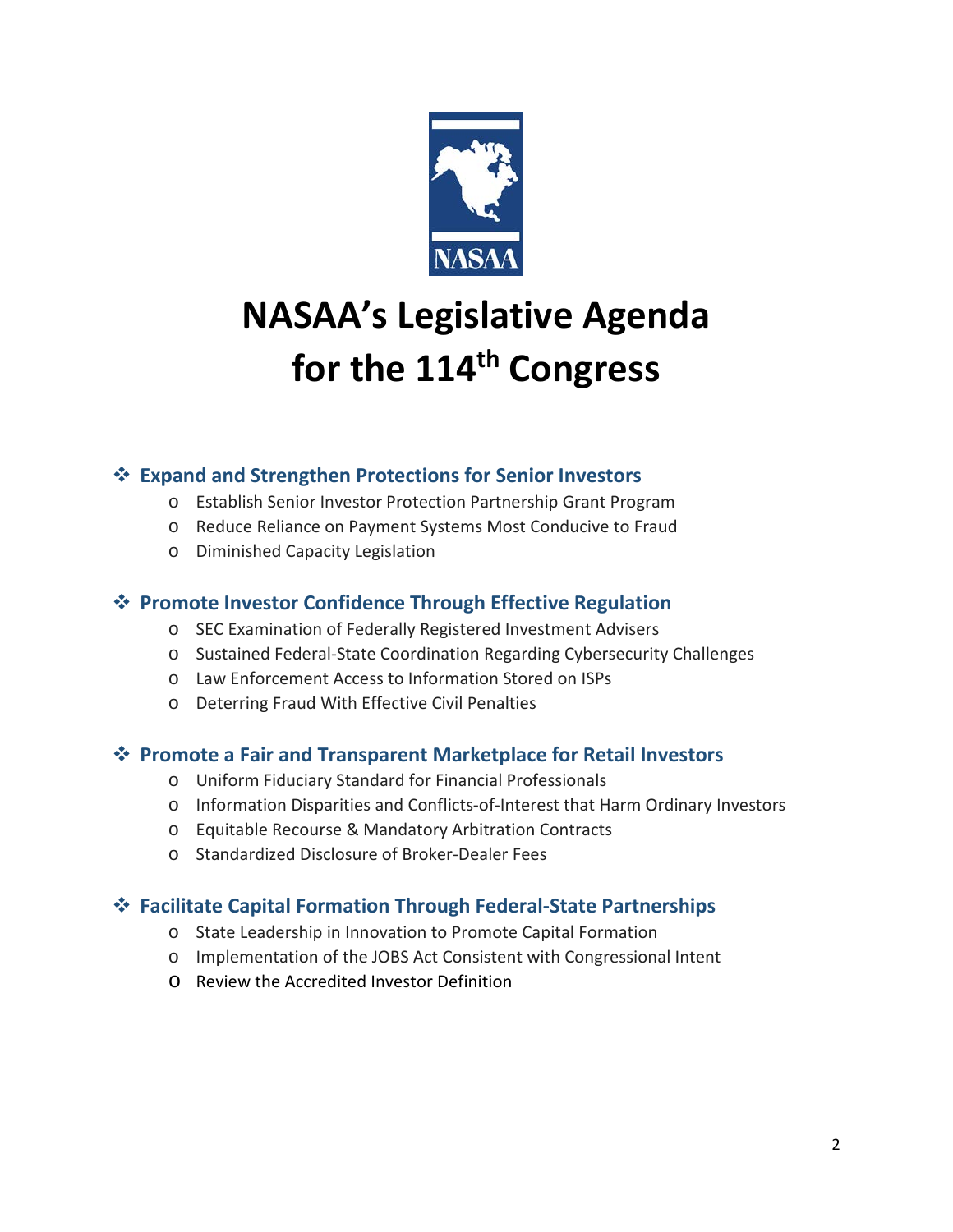

# **NASAA's Legislative Agenda for the 114th Congress**

# **Expand and Strengthen Protections for Senior Investors**

- o Establish Senior Investor Protection Partnership Grant Program
- o Reduce Reliance on Payment Systems Most Conducive to Fraud
- o Diminished Capacity Legislation

# **Promote Investor Confidence Through Effective Regulation**

- o SEC Examination of Federally Registered Investment Advisers
- o Sustained Federal-State Coordination Regarding Cybersecurity Challenges
- o Law Enforcement Access to Information Stored on ISPs
- o Deterring Fraud With Effective Civil Penalties

# **Promote a Fair and Transparent Marketplace for Retail Investors**

- o Uniform Fiduciary Standard for Financial Professionals
- o Information Disparities and Conflicts-of-Interest that Harm Ordinary Investors
- o Equitable Recourse & Mandatory Arbitration Contracts
- o Standardized Disclosure of Broker-Dealer Fees

# **Facilitate Capital Formation Through Federal-State Partnerships**

- o State Leadership in Innovation to Promote Capital Formation
- o Implementation of the JOBS Act Consistent with Congressional Intent
- o Review the Accredited Investor Definition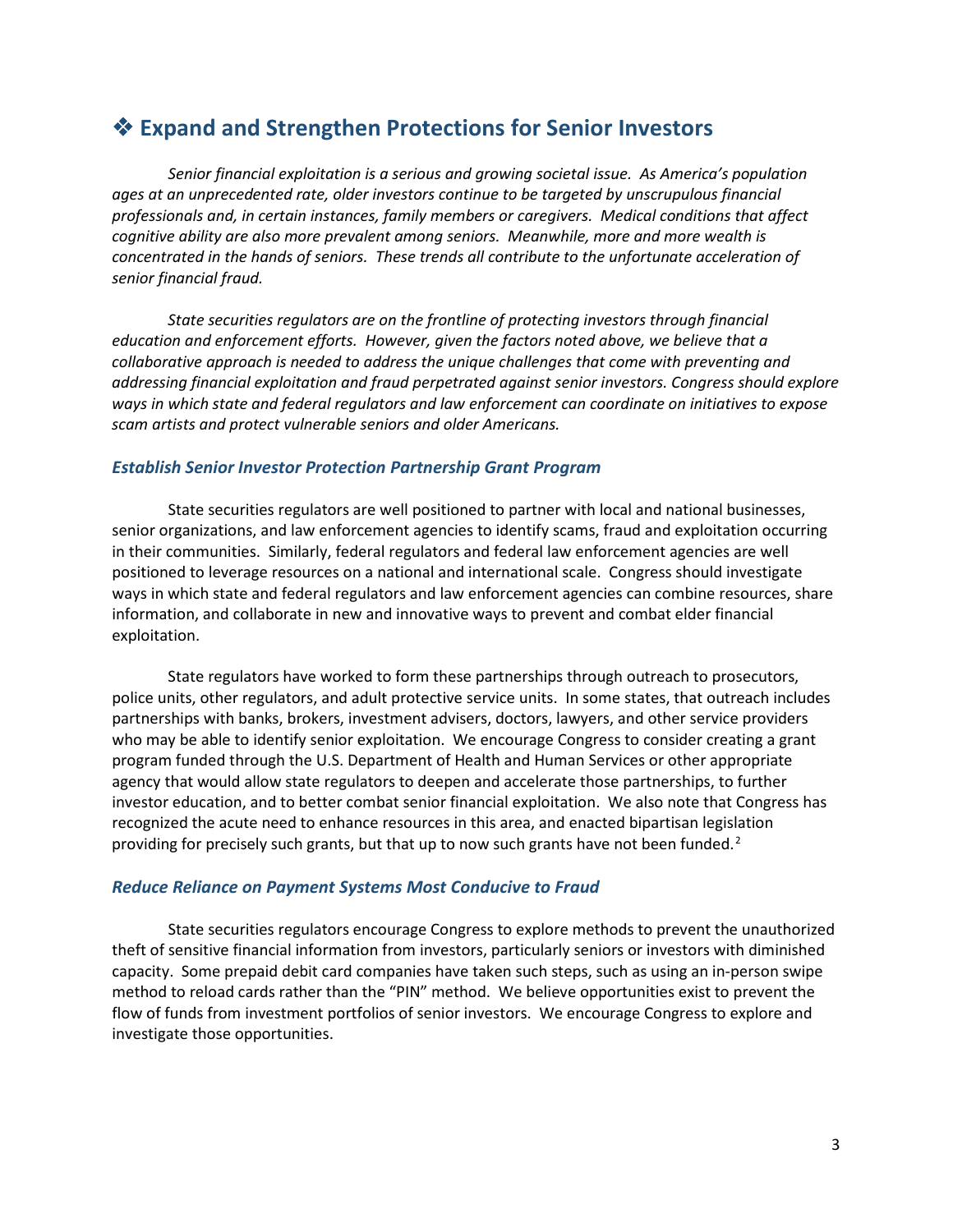# **Expand and Strengthen Protections for Senior Investors**

*Senior financial exploitation is a serious and growing societal issue. As America's population ages at an unprecedented rate, older investors continue to be targeted by unscrupulous financial professionals and, in certain instances, family members or caregivers. Medical conditions that affect cognitive ability are also more prevalent among seniors. Meanwhile, more and more wealth is concentrated in the hands of seniors. These trends all contribute to the unfortunate acceleration of senior financial fraud.* 

*State securities regulators are on the frontline of protecting investors through financial education and enforcement efforts. However, given the factors noted above, we believe that a collaborative approach is needed to address the unique challenges that come with preventing and addressing financial exploitation and fraud perpetrated against senior investors. Congress should explore ways in which state and federal regulators and law enforcement can coordinate on initiatives to expose scam artists and protect vulnerable seniors and older Americans.*

#### *Establish Senior Investor Protection Partnership Grant Program*

State securities regulators are well positioned to partner with local and national businesses, senior organizations, and law enforcement agencies to identify scams, fraud and exploitation occurring in their communities. Similarly, federal regulators and federal law enforcement agencies are well positioned to leverage resources on a national and international scale. Congress should investigate ways in which state and federal regulators and law enforcement agencies can combine resources, share information, and collaborate in new and innovative ways to prevent and combat elder financial exploitation.

State regulators have worked to form these partnerships through outreach to prosecutors, police units, other regulators, and adult protective service units. In some states, that outreach includes partnerships with banks, brokers, investment advisers, doctors, lawyers, and other service providers who may be able to identify senior exploitation. We encourage Congress to consider creating a grant program funded through the U.S. Department of Health and Human Services or other appropriate agency that would allow state regulators to deepen and accelerate those partnerships, to further investor education, and to better combat senior financial exploitation. We also note that Congress has recognized the acute need to enhance resources in this area, and enacted bipartisan legislation providing for precisely such grants, but that up to now such grants have not been funded.<sup>[2](#page-10-1)</sup>

#### *Reduce Reliance on Payment Systems Most Conducive to Fraud*

State securities regulators encourage Congress to explore methods to prevent the unauthorized theft of sensitive financial information from investors, particularly seniors or investors with diminished capacity. Some prepaid debit card companies have taken such steps, such as using an in-person swipe method to reload cards rather than the "PIN" method. We believe opportunities exist to prevent the flow of funds from investment portfolios of senior investors. We encourage Congress to explore and investigate those opportunities.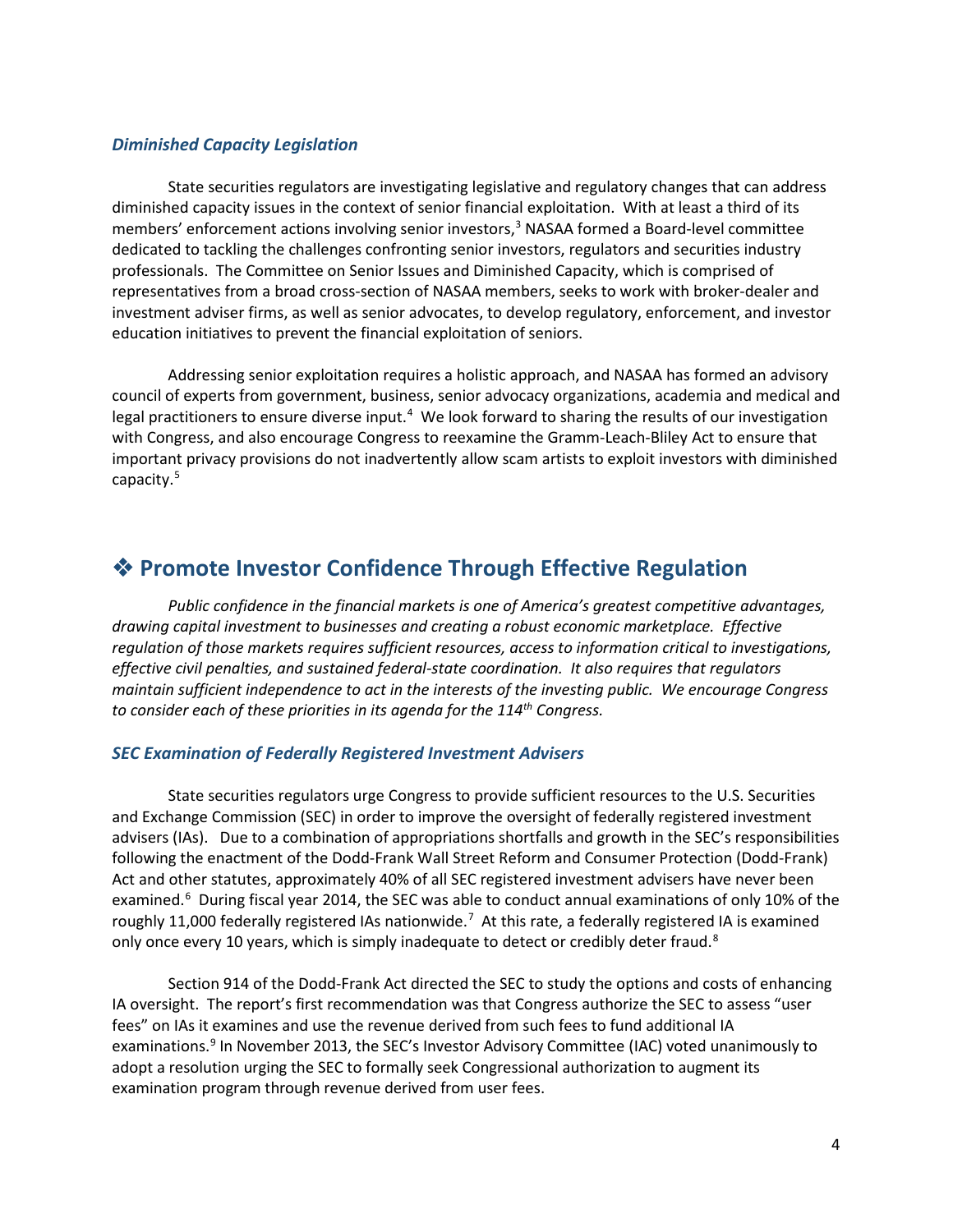#### *Diminished Capacity Legislation*

State securities regulators are investigating legislative and regulatory changes that can address diminished capacity issues in the context of senior financial exploitation. With at least a third of its members' enforcement actions involving senior investors,<sup>3</sup> NASAA formed a Board-level committee dedicated to tackling the challenges confronting senior investors, regulators and securities industry professionals. The Committee on Senior Issues and Diminished Capacity, which is comprised of representatives from a broad cross-section of NASAA members, seeks to work with broker-dealer and investment adviser firms, as well as senior advocates, to develop regulatory, enforcement, and investor education initiatives to prevent the financial exploitation of seniors.

Addressing senior exploitation requires a holistic approach, and NASAA has formed an advisory council of experts from government, business, senior advocacy organizations, academia and medical and legal practitioners to ensure diverse input.<sup>[4](#page-11-1)</sup> We look forward to sharing the results of our investigation with Congress, and also encourage Congress to reexamine the Gramm-Leach-Bliley Act to ensure that important privacy provisions do not inadvertently allow scam artists to exploit investors with diminished capacity.[5](#page-11-2)

# **Promote Investor Confidence Through Effective Regulation**

*Public confidence in the financial markets is one of America's greatest competitive advantages, drawing capital investment to businesses and creating a robust economic marketplace. Effective regulation of those markets requires sufficient resources, access to information critical to investigations, effective civil penalties, and sustained federal-state coordination. It also requires that regulators maintain sufficient independence to act in the interests of the investing public. We encourage Congress to consider each of these priorities in its agenda for the 114th Congress.*

#### *SEC Examination of Federally Registered Investment Advisers*

State securities regulators urge Congress to provide sufficient resources to the U.S. Securities and Exchange Commission (SEC) in order to improve the oversight of federally registered investment advisers (IAs). Due to a combination of appropriations shortfalls and growth in the SEC's responsibilities following the enactment of the Dodd-Frank Wall Street Reform and Consumer Protection (Dodd-Frank) Act and other statutes, approximately 40% of all SEC registered investment advisers have never been examined.<sup>[6](#page-11-3)</sup> During fiscal year 2014, the SEC was able to conduct annual examinations of only 10% of the roughly 11,000 federally registered IAs nationwide.<sup>[7](#page-11-4)</sup> At this rate, a federally registered IA is examined only once every 10 years, which is simply inadequate to detect or credibly deter fraud.<sup>[8](#page-11-5)</sup>

Section 914 of the Dodd-Frank Act directed the SEC to study the options and costs of enhancing IA oversight. The report's first recommendation was that Congress authorize the SEC to assess "user fees" on IAs it examines and use the revenue derived from such fees to fund additional IA examinations.<sup>[9](#page-11-6)</sup> In November 2013, the SEC's Investor Advisory Committee (IAC) voted unanimously to adopt a resolution urging the SEC to formally seek Congressional authorization to augment its examination program through revenue derived from user fees.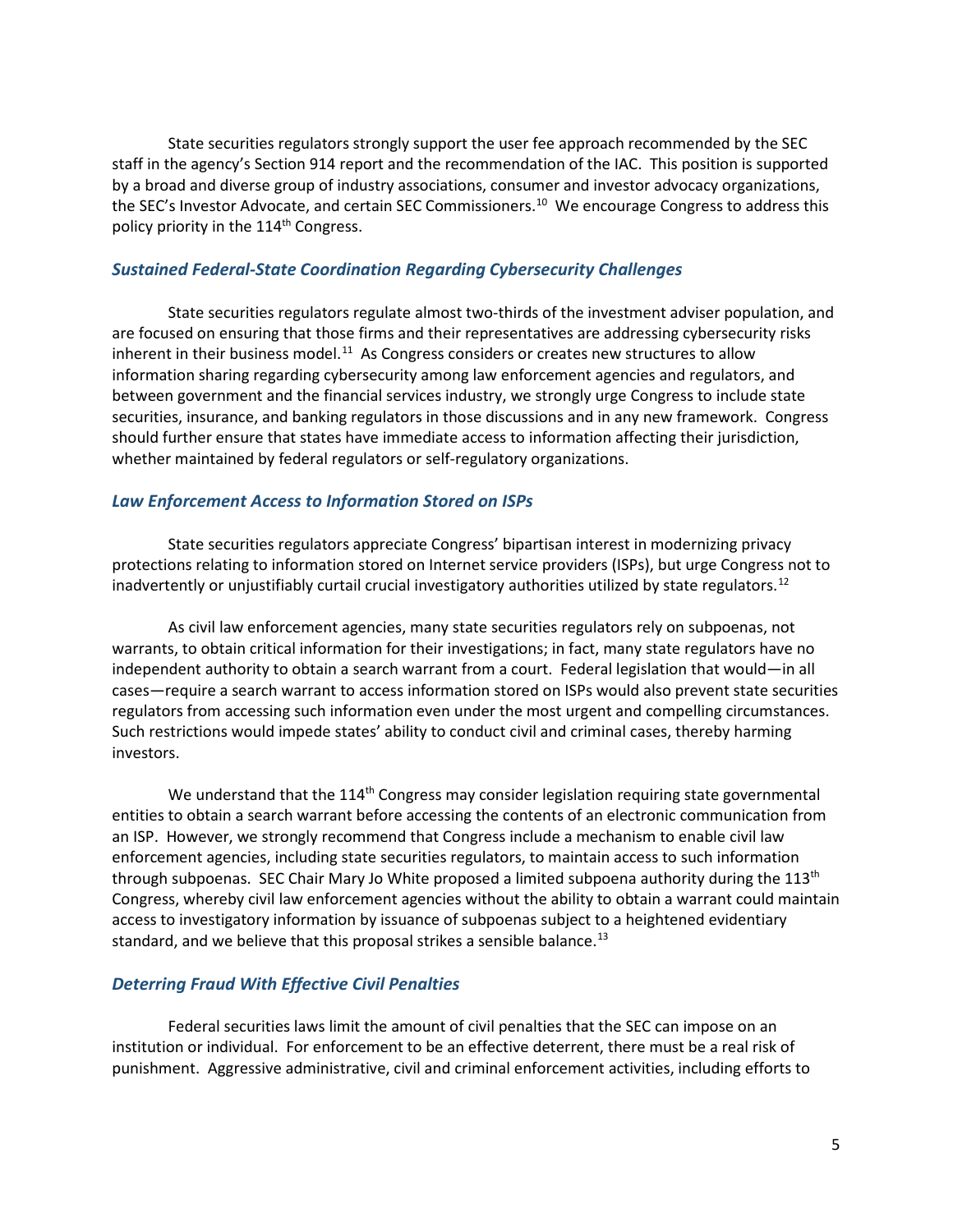State securities regulators strongly support the user fee approach recommended by the SEC staff in the agency's Section 914 report and the recommendation of the IAC. This position is supported by a broad and diverse group of industry associations, consumer and investor advocacy organizations, the SEC's Investor Advocate, and certain SEC Commissioners.<sup>10</sup> We encourage Congress to address this policy priority in the 114<sup>th</sup> Congress.

#### *Sustained Federal-State Coordination Regarding Cybersecurity Challenges*

State securities regulators regulate almost two-thirds of the investment adviser population, and are focused on ensuring that those firms and their representatives are addressing cybersecurity risks inherent in their business model.<sup>11</sup> As Congress considers or creates new structures to allow information sharing regarding cybersecurity among law enforcement agencies and regulators, and between government and the financial services industry, we strongly urge Congress to include state securities, insurance, and banking regulators in those discussions and in any new framework. Congress should further ensure that states have immediate access to information affecting their jurisdiction, whether maintained by federal regulators or self-regulatory organizations.

#### *Law Enforcement Access to Information Stored on ISPs*

State securities regulators appreciate Congress' bipartisan interest in modernizing privacy protections relating to information stored on Internet service providers (ISPs), but urge Congress not to inadvertently or unjustifiably curtail crucial investigatory authorities utilized by state regulators.<sup>[12](#page-12-2)</sup>

As civil law enforcement agencies, many state securities regulators rely on subpoenas, not warrants, to obtain critical information for their investigations; in fact, many state regulators have no independent authority to obtain a search warrant from a court. Federal legislation that would—in all cases—require a search warrant to access information stored on ISPs would also prevent state securities regulators from accessing such information even under the most urgent and compelling circumstances. Such restrictions would impede states' ability to conduct civil and criminal cases, thereby harming investors.

We understand that the 114<sup>th</sup> Congress may consider legislation requiring state governmental entities to obtain a search warrant before accessing the contents of an electronic communication from an ISP. However, we strongly recommend that Congress include a mechanism to enable civil law enforcement agencies, including state securities regulators, to maintain access to such information through subpoenas. SEC Chair Mary Jo White proposed a limited subpoena authority during the 113<sup>th</sup> Congress, whereby civil law enforcement agencies without the ability to obtain a warrant could maintain access to investigatory information by issuance of subpoenas subject to a heightened evidentiary standard, and we believe that this proposal strikes a sensible balance.<sup>[13](#page-12-3)</sup>

#### *Deterring Fraud With Effective Civil Penalties*

Federal securities laws limit the amount of civil penalties that the SEC can impose on an institution or individual. For enforcement to be an effective deterrent, there must be a real risk of punishment. Aggressive administrative, civil and criminal enforcement activities, including efforts to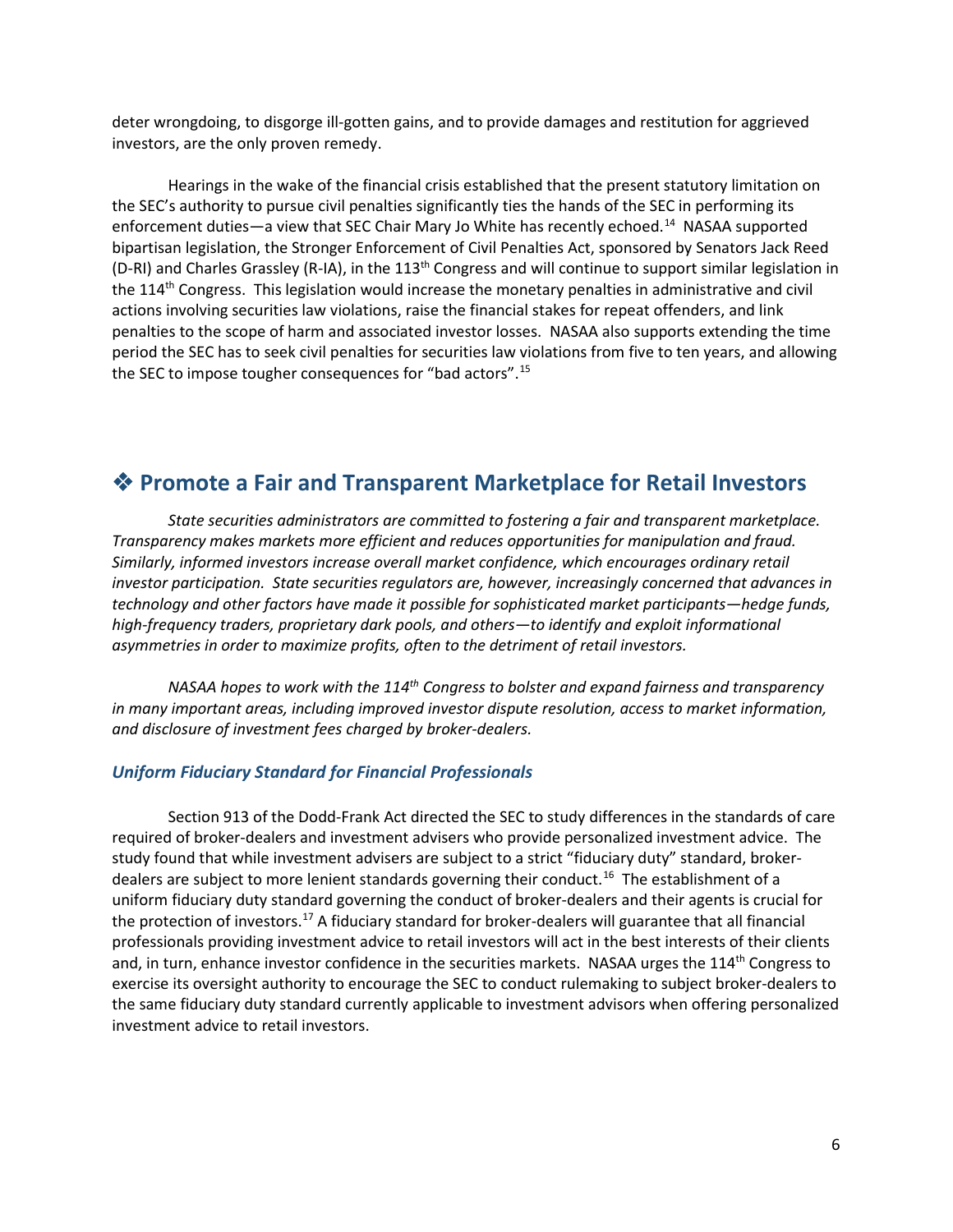deter wrongdoing, to disgorge ill-gotten gains, and to provide damages and restitution for aggrieved investors, are the only proven remedy.

Hearings in the wake of the financial crisis established that the present statutory limitation on the SEC's authority to pursue civil penalties significantly ties the hands of the SEC in performing its enforcement duties—a view that SEC Chair Mary Jo White has recently echoed.<sup>[14](#page-12-4)</sup> NASAA supported bipartisan legislation, the Stronger Enforcement of Civil Penalties Act, sponsored by Senators Jack Reed (D-RI) and Charles Grassley (R-IA), in the 113<sup>th</sup> Congress and will continue to support similar legislation in the 114<sup>th</sup> Congress. This legislation would increase the monetary penalties in administrative and civil actions involving securities law violations, raise the financial stakes for repeat offenders, and link penalties to the scope of harm and associated investor losses. NASAA also supports extending the time period the SEC has to seek civil penalties for securities law violations from five to ten years, and allowing the SEC to impose tougher consequences for "bad actors".[15](#page-12-5)

# **Promote a Fair and Transparent Marketplace for Retail Investors**

*State securities administrators are committed to fostering a fair and transparent marketplace. Transparency makes markets more efficient and reduces opportunities for manipulation and fraud. Similarly, informed investors increase overall market confidence, which encourages ordinary retail investor participation. State securities regulators are, however, increasingly concerned that advances in technology and other factors have made it possible for sophisticated market participants—hedge funds, high-frequency traders, proprietary dark pools, and others—to identify and exploit informational asymmetries in order to maximize profits, often to the detriment of retail investors.*

*NASAA hopes to work with the 114th Congress to bolster and expand fairness and transparency in many important areas, including improved investor dispute resolution, access to market information, and disclosure of investment fees charged by broker-dealers.*

#### *Uniform Fiduciary Standard for Financial Professionals*

Section 913 of the Dodd-Frank Act directed the SEC to study differences in the standards of care required of broker-dealers and investment advisers who provide personalized investment advice. The study found that while investment advisers are subject to a strict "fiduciary duty" standard, brokerdealers are subject to more lenient standards governing their conduct.<sup>16</sup> The establishment of a uniform fiduciary duty standard governing the conduct of broker-dealers and their agents is crucial for the protection of investors.[17](#page-12-7) A fiduciary standard for broker-dealers will guarantee that all financial professionals providing investment advice to retail investors will act in the best interests of their clients and, in turn, enhance investor confidence in the securities markets. NASAA urges the 114<sup>th</sup> Congress to exercise its oversight authority to encourage the SEC to conduct rulemaking to subject broker-dealers to the same fiduciary duty standard currently applicable to investment advisors when offering personalized investment advice to retail investors.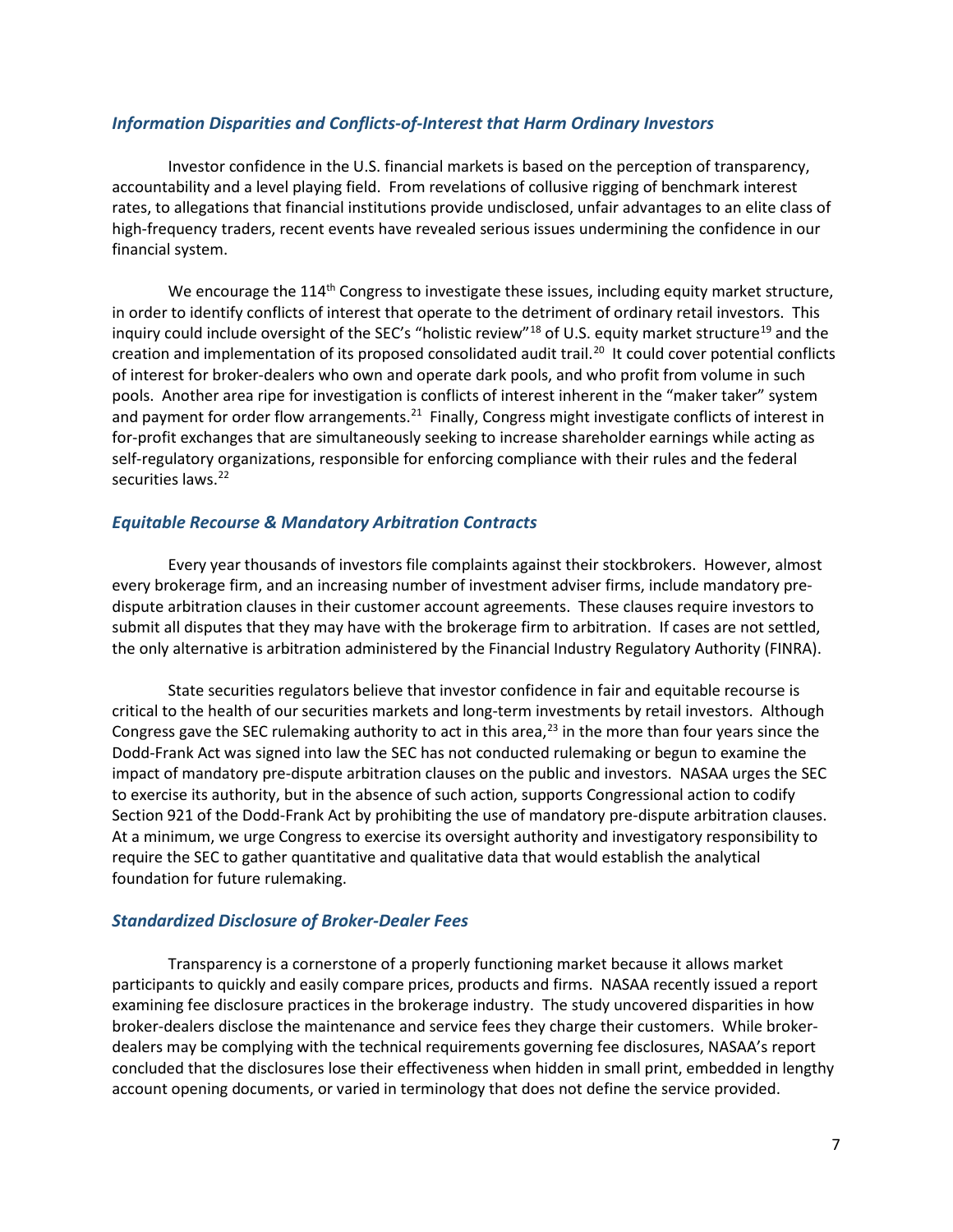#### *Information Disparities and Conflicts-of-Interest that Harm Ordinary Investors*

Investor confidence in the U.S. financial markets is based on the perception of transparency, accountability and a level playing field. From revelations of collusive rigging of benchmark interest rates, to allegations that financial institutions provide undisclosed, unfair advantages to an elite class of high-frequency traders, recent events have revealed serious issues undermining the confidence in our financial system.

We encourage the 114<sup>th</sup> Congress to investigate these issues, including equity market structure, in order to identify conflicts of interest that operate to the detriment of ordinary retail investors. This inquiry could include oversight of the SEC's "holistic review"<sup>[18](#page-12-8)</sup> of U.S. equity market structure<sup>[19](#page-12-9)</sup> and the creation and implementation of its proposed consolidated audit trail.<sup>[20](#page-12-10)</sup> It could cover potential conflicts of interest for broker-dealers who own and operate dark pools, and who profit from volume in such pools. Another area ripe for investigation is conflicts of interest inherent in the "maker taker" system and payment for order flow arrangements.<sup>[21](#page-12-11)</sup> Finally, Congress might investigate conflicts of interest in for-profit exchanges that are simultaneously seeking to increase shareholder earnings while acting as self-regulatory organizations, responsible for enforcing compliance with their rules and the federal securities laws.<sup>[22](#page-12-12)</sup>

#### *Equitable Recourse & Mandatory Arbitration Contracts*

Every year thousands of investors file complaints against their stockbrokers. However, almost every brokerage firm, and an increasing number of investment adviser firms, include mandatory predispute arbitration clauses in their customer account agreements. These clauses require investors to submit all disputes that they may have with the brokerage firm to arbitration. If cases are not settled, the only alternative is arbitration administered by the Financial Industry Regulatory Authority (FINRA).

State securities regulators believe that investor confidence in fair and equitable recourse is critical to the health of our securities markets and long-term investments by retail investors. Although Congress gave the SEC rulemaking authority to act in this area,<sup>[23](#page-12-13)</sup> in the more than four years since the Dodd-Frank Act was signed into law the SEC has not conducted rulemaking or begun to examine the impact of mandatory pre-dispute arbitration clauses on the public and investors. NASAA urges the SEC to exercise its authority, but in the absence of such action, supports Congressional action to codify Section 921 of the Dodd-Frank Act by prohibiting the use of mandatory pre-dispute arbitration clauses. At a minimum, we urge Congress to exercise its oversight authority and investigatory responsibility to require the SEC to gather quantitative and qualitative data that would establish the analytical foundation for future rulemaking.

#### *Standardized Disclosure of Broker-Dealer Fees*

Transparency is a cornerstone of a properly functioning market because it allows market participants to quickly and easily compare prices, products and firms. NASAA recently issued a report examining fee disclosure practices in the brokerage industry. The study uncovered disparities in how broker-dealers disclose the maintenance and service fees they charge their customers. While brokerdealers may be complying with the technical requirements governing fee disclosures, NASAA's report concluded that the disclosures lose their effectiveness when hidden in small print, embedded in lengthy account opening documents, or varied in terminology that does not define the service provided.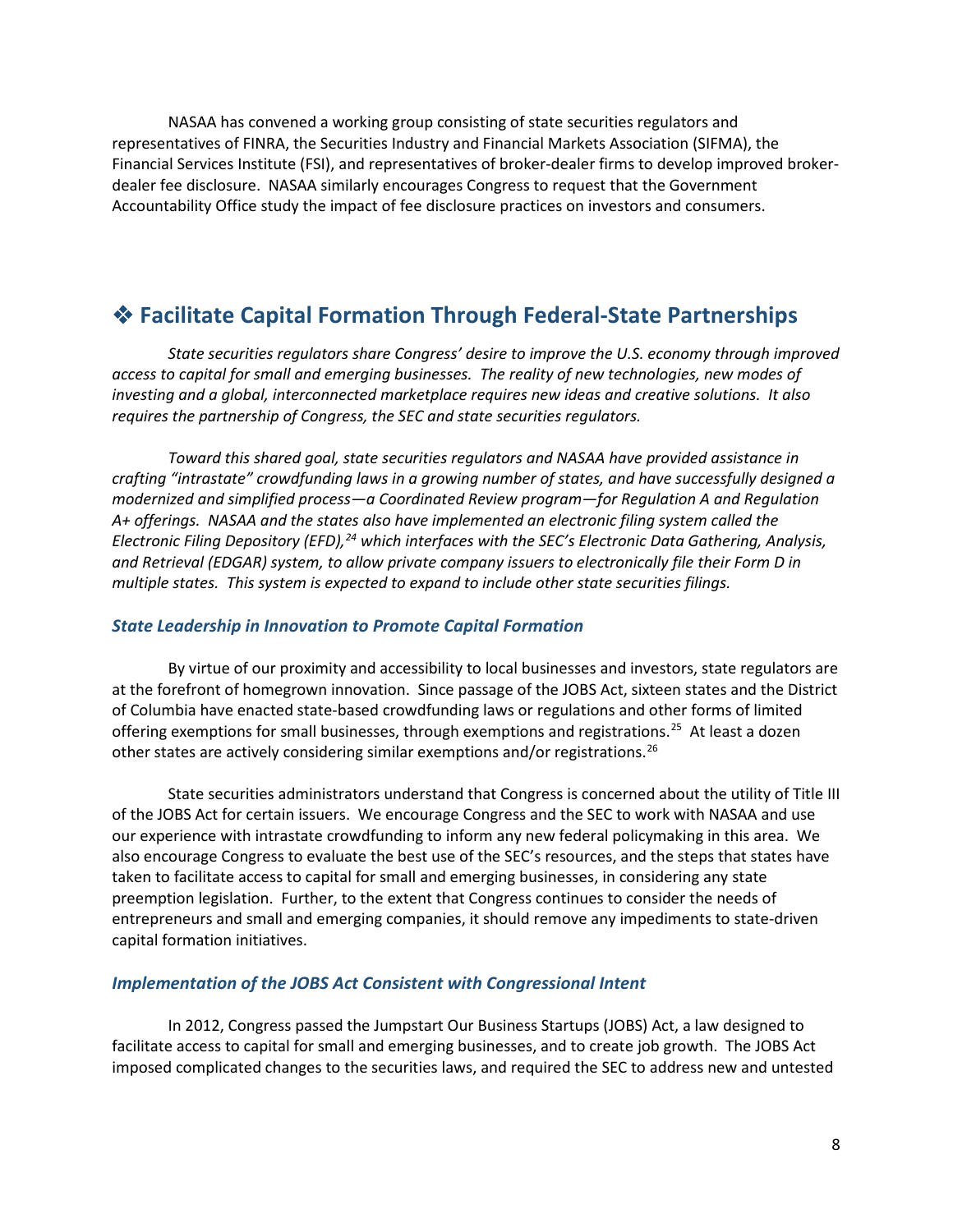NASAA has convened a working group consisting of state securities regulators and representatives of FINRA, the Securities Industry and Financial Markets Association (SIFMA), the Financial Services Institute (FSI), and representatives of broker-dealer firms to develop improved brokerdealer fee disclosure. NASAA similarly encourages Congress to request that the Government Accountability Office study the impact of fee disclosure practices on investors and consumers.

# **Facilitate Capital Formation Through Federal-State Partnerships**

*State securities regulators share Congress' desire to improve the U.S. economy through improved access to capital for small and emerging businesses. The reality of new technologies, new modes of investing and a global, interconnected marketplace requires new ideas and creative solutions. It also requires the partnership of Congress, the SEC and state securities regulators.*

*Toward this shared goal, state securities regulators and NASAA have provided assistance in crafting "intrastate" crowdfunding laws in a growing number of states, and have successfully designed a modernized and simplified process—a Coordinated Review program—for Regulation A and Regulation A+ offerings. NASAA and the states also have implemented an electronic filing system called the Electronic Filing Depository (EFD),[24](#page-12-14) which interfaces with the SEC's Electronic Data Gathering, Analysis, and Retrieval (EDGAR) system, to allow private company issuers to electronically file their Form D in multiple states. This system is expected to expand to include other state securities filings.*

#### *State Leadership in Innovation to Promote Capital Formation*

By virtue of our proximity and accessibility to local businesses and investors, state regulators are at the forefront of homegrown innovation. Since passage of the JOBS Act, sixteen states and the District of Columbia have enacted state-based crowdfunding laws or regulations and other forms of limited offering exemptions for small businesses, through exemptions and registrations.<sup>[25](#page-12-15)</sup> At least a dozen other states are actively considering similar exemptions and/or registrations.<sup>26</sup>

State securities administrators understand that Congress is concerned about the utility of Title III of the JOBS Act for certain issuers. We encourage Congress and the SEC to work with NASAA and use our experience with intrastate crowdfunding to inform any new federal policymaking in this area. We also encourage Congress to evaluate the best use of the SEC's resources, and the steps that states have taken to facilitate access to capital for small and emerging businesses, in considering any state preemption legislation. Further, to the extent that Congress continues to consider the needs of entrepreneurs and small and emerging companies, it should remove any impediments to state-driven capital formation initiatives.

#### *Implementation of the JOBS Act Consistent with Congressional Intent*

In 2012, Congress passed the Jumpstart Our Business Startups (JOBS) Act, a law designed to facilitate access to capital for small and emerging businesses, and to create job growth. The JOBS Act imposed complicated changes to the securities laws, and required the SEC to address new and untested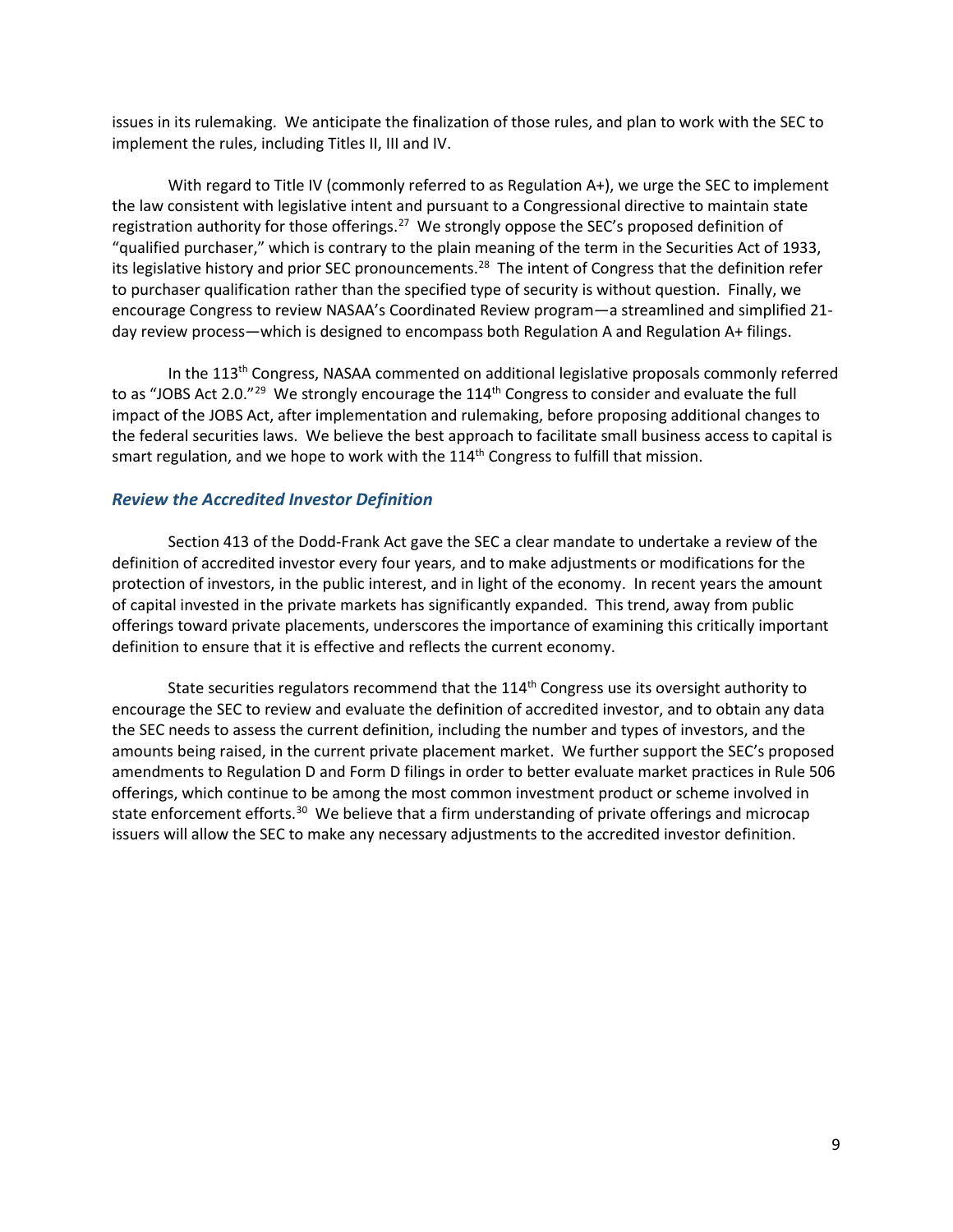issues in its rulemaking. We anticipate the finalization of those rules, and plan to work with the SEC to implement the rules, including Titles II, III and IV.

With regard to Title IV (commonly referred to as Regulation A+), we urge the SEC to implement the law consistent with legislative intent and pursuant to a Congressional directive to maintain state registration authority for those offerings.<sup>[27](#page-12-17)</sup> We strongly oppose the SEC's proposed definition of "qualified purchaser," which is contrary to the plain meaning of the term in the Securities Act of 1933, its legislative history and prior SEC pronouncements.<sup>28</sup> The intent of Congress that the definition refer to purchaser qualification rather than the specified type of security is without question. Finally, we encourage Congress to review NASAA's Coordinated Review program—a streamlined and simplified 21 day review process—which is designed to encompass both Regulation A and Regulation A+ filings.

In the 113<sup>th</sup> Congress, NASAA commented on additional legislative proposals commonly referred to as "JOBS Act 2.0."<sup>29</sup> We strongly encourage the 114<sup>th</sup> Congress to consider and evaluate the full impact of the JOBS Act, after implementation and rulemaking, before proposing additional changes to the federal securities laws. We believe the best approach to facilitate small business access to capital is smart regulation, and we hope to work with the  $114<sup>th</sup>$  Congress to fulfill that mission.

#### *Review the Accredited Investor Definition*

Section 413 of the Dodd-Frank Act gave the SEC a clear mandate to undertake a review of the definition of accredited investor every four years, and to make adjustments or modifications for the protection of investors, in the public interest, and in light of the economy. In recent years the amount of capital invested in the private markets has significantly expanded. This trend, away from public offerings toward private placements, underscores the importance of examining this critically important definition to ensure that it is effective and reflects the current economy.

State securities regulators recommend that the  $114<sup>th</sup>$  Congress use its oversight authority to encourage the SEC to review and evaluate the definition of accredited investor, and to obtain any data the SEC needs to assess the current definition, including the number and types of investors, and the amounts being raised, in the current private placement market. We further support the SEC's proposed amendments to Regulation D and Form D filings in order to better evaluate market practices in Rule 506 offerings, which continue to be among the most common investment product or scheme involved in state enforcement efforts.<sup>30</sup> We believe that a firm understanding of private offerings and microcap issuers will allow the SEC to make any necessary adjustments to the accredited investor definition.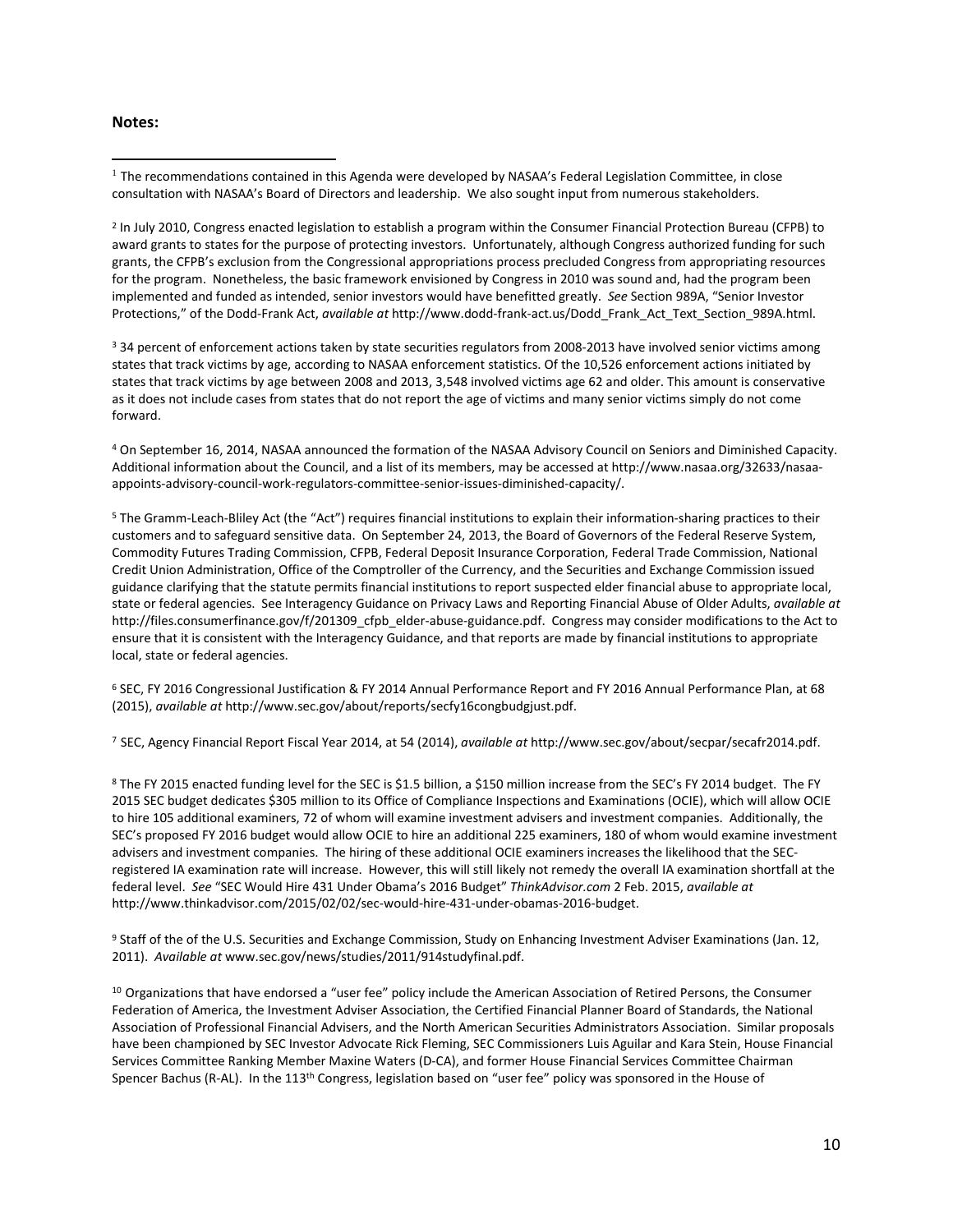#### **Notes:**

 $\overline{\phantom{a}}$ 

<span id="page-10-1"></span><sup>2</sup> In July 2010, Congress enacted legislation to establish a program within the Consumer Financial Protection Bureau (CFPB) to award grants to states for the purpose of protecting investors. Unfortunately, although Congress authorized funding for such grants, the CFPB's exclusion from the Congressional appropriations process precluded Congress from appropriating resources for the program. Nonetheless, the basic framework envisioned by Congress in 2010 was sound and, had the program been implemented and funded as intended, senior investors would have benefitted greatly. *See* Section 989A, "Senior Investor Protections," of the Dodd-Frank Act, *available at* http://www.dodd-frank-act.us/Dodd\_Frank\_Act\_Text\_Section\_989A.html.

<sup>3</sup> 34 percent of enforcement actions taken by state securities regulators from 2008-2013 have involved senior victims among states that track victims by age, according to NASAA enforcement statistics. Of the 10,526 enforcement actions initiated by states that track victims by age between 2008 and 2013, 3,548 involved victims age 62 and older. This amount is conservative as it does not include cases from states that do not report the age of victims and many senior victims simply do not come forward.

<sup>4</sup> On September 16, 2014, NASAA announced the formation of the NASAA Advisory Council on Seniors and Diminished Capacity. Additional information about the Council, and a list of its members, may be accessed at http://www.nasaa.org/32633/nasaaappoints-advisory-council-work-regulators-committee-senior-issues-diminished-capacity/.

<sup>5</sup> The Gramm-Leach-Bliley Act (the "Act") requires financial institutions to explain their information-sharing practices to their customers and to safeguard sensitive data. On September 24, 2013, the Board of Governors of the Federal Reserve System, Commodity Futures Trading Commission, CFPB, Federal Deposit Insurance Corporation, Federal Trade Commission, National Credit Union Administration, Office of the Comptroller of the Currency, and the Securities and Exchange Commission issued guidance clarifying that the statute permits financial institutions to report suspected elder financial abuse to appropriate local, state or federal agencies. See Interagency Guidance on Privacy Laws and Reporting Financial Abuse of Older Adults, *available at* http://files.consumerfinance.gov/f/201309\_cfpb\_elder-abuse-guidance.pdf. Congress may consider modifications to the Act to ensure that it is consistent with the Interagency Guidance, and that reports are made by financial institutions to appropriate local, state or federal agencies.

<sup>6</sup> SEC, FY 2016 Congressional Justification & FY 2014 Annual Performance Report and FY 2016 Annual Performance Plan, at 68 (2015), *available at* http://www.sec.gov/about/reports/secfy16congbudgjust.pdf.

<sup>7</sup> SEC, Agency Financial Report Fiscal Year 2014, at 54 (2014), *available at* http://www.sec.gov/about/secpar/secafr2014.pdf.

<sup>8</sup> The FY 2015 enacted funding level for the SEC is \$1.5 billion, a \$150 million increase from the SEC's FY 2014 budget. The FY 2015 SEC budget dedicates \$305 million to its Office of Compliance Inspections and Examinations (OCIE), which will allow OCIE to hire 105 additional examiners, 72 of whom will examine investment advisers and investment companies. Additionally, the SEC's proposed FY 2016 budget would allow OCIE to hire an additional 225 examiners, 180 of whom would examine investment advisers and investment companies. The hiring of these additional OCIE examiners increases the likelihood that the SECregistered IA examination rate will increase. However, this will still likely not remedy the overall IA examination shortfall at the federal level. *See* "SEC Would Hire 431 Under Obama's 2016 Budget" *ThinkAdvisor.com* 2 Feb. 2015, *available at* http://www.thinkadvisor.com/2015/02/02/sec-would-hire-431-under-obamas-2016-budget.

<sup>9</sup> Staff of the of the U.S. Securities and Exchange Commission, Study on Enhancing Investment Adviser Examinations (Jan. 12, 2011). *Available at* www.sec.gov/news/studies/2011/914studyfinal.pdf.

 $10$  Organizations that have endorsed a "user fee" policy include the American Association of Retired Persons, the Consumer Federation of America, the Investment Adviser Association, the Certified Financial Planner Board of Standards, the National Association of Professional Financial Advisers, and the North American Securities Administrators Association. Similar proposals have been championed by SEC Investor Advocate Rick Fleming, SEC Commissioners Luis Aguilar and Kara Stein, House Financial Services Committee Ranking Member Maxine Waters (D-CA), and former House Financial Services Committee Chairman Spencer Bachus (R-AL). In the 113<sup>th</sup> Congress, legislation based on "user fee" policy was sponsored in the House of

<span id="page-10-0"></span> $1$  The recommendations contained in this Agenda were developed by NASAA's Federal Legislation Committee, in close consultation with NASAA's Board of Directors and leadership. We also sought input from numerous stakeholders.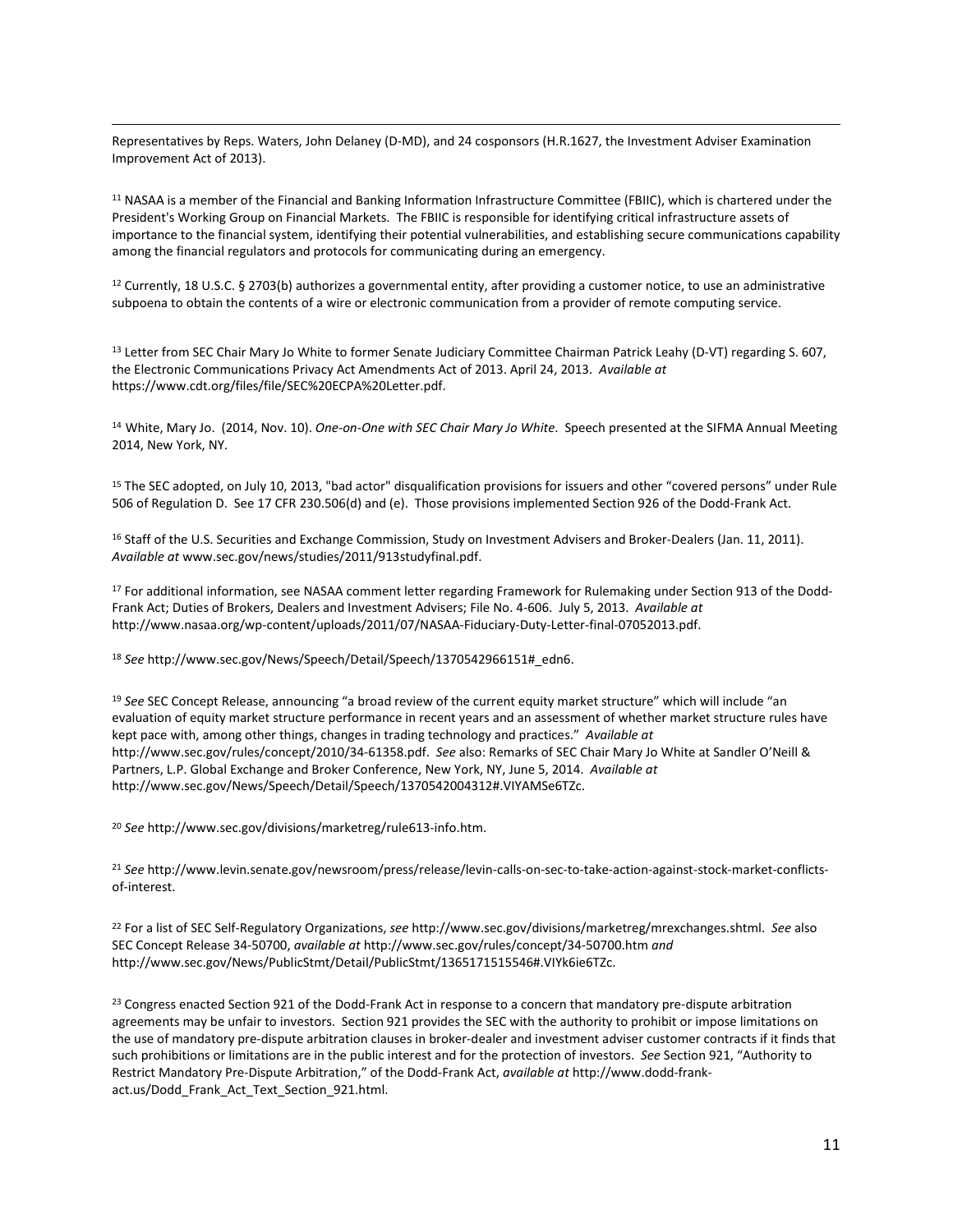Representatives by Reps. Waters, John Delaney (D-MD), and 24 cosponsors (H.R.1627, the Investment Adviser Examination Improvement Act of 2013).  $\overline{\phantom{a}}$ 

<sup>11</sup> NASAA is a member of the Financial and Banking Information Infrastructure Committee (FBIIC), which is chartered under the President's Working Group on Financial Markets. The FBIIC is responsible for identifying critical infrastructure assets of importance to the financial system, identifying their potential vulnerabilities, and establishing secure communications capability among the financial regulators and protocols for communicating during an emergency.

<sup>12</sup> Currently, 18 U.S.C. § 2703(b) authorizes a governmental entity, after providing a customer notice, to use an administrative subpoena to obtain the contents of a wire or electronic communication from a provider of remote computing service.

<span id="page-11-0"></span>13 Letter from SEC Chair Mary Jo White to former Senate Judiciary Committee Chairman Patrick Leahy (D-VT) regarding S. 607, the Electronic Communications Privacy Act Amendments Act of 2013. April 24, 2013. *Available at* https://www.cdt.org/files/file/SEC%20ECPA%20Letter.pdf.

<span id="page-11-1"></span><sup>14</sup> White, Mary Jo. (2014, Nov. 10). *One-on-One with SEC Chair Mary Jo White*. Speech presented at the SIFMA Annual Meeting 2014, New York, NY.

<sup>15</sup> The SEC adopted, on July 10, 2013, "bad actor" disqualification provisions for issuers and other "covered persons" under Rule 506 of Regulation D. See 17 CFR 230.506(d) and (e). Those provisions implemented Section 926 of the Dodd-Frank Act.

<span id="page-11-2"></span><sup>16</sup> Staff of the U.S. Securities and Exchange Commission, Study on Investment Advisers and Broker-Dealers (Jan. 11, 2011). *Available at* www.sec.gov/news/studies/2011/913studyfinal.pdf.

<sup>17</sup> For additional information, see NASAA comment letter regarding Framework for Rulemaking under Section 913 of the Dodd-Frank Act; Duties of Brokers, Dealers and Investment Advisers; File No. 4-606. July 5, 2013. *Available at* http://www.nasaa.org/wp-content/uploads/2011/07/NASAA-Fiduciary-Duty-Letter-final-07052013.pdf.

<sup>18</sup> *See* http://www.sec.gov/News/Speech/Detail/Speech/1370542966151#\_edn6.

<span id="page-11-4"></span><span id="page-11-3"></span><sup>19</sup> *See* SEC Concept Release, announcing "a broad review of the current equity market structure" which will include "an evaluation of equity market structure performance in recent years and an assessment of whether market structure rules have kept pace with, among other things, changes in trading technology and practices." *Available at* http://www.sec.gov/rules/concept/2010/34-61358.pdf. *See* also: Remarks of SEC Chair Mary Jo White at Sandler O'Neill & Partners, L.P. Global Exchange and Broker Conference, New York, NY, June 5, 2014. *Available at* http://www.sec.gov/News/Speech/Detail/Speech/1370542004312#.VIYAMSe6TZc.

<span id="page-11-5"></span><sup>20</sup> *See* http://www.sec.gov/divisions/marketreg/rule613-info.htm.

<sup>21</sup> *See* http://www.levin.senate.gov/newsroom/press/release/levin-calls-on-sec-to-take-action-against-stock-market-conflictsof-interest.

<span id="page-11-6"></span><sup>22</sup> For a list of SEC Self-Regulatory Organizations, *see* http://www.sec.gov/divisions/marketreg/mrexchanges.shtml. *See* also SEC Concept Release 34-50700, *available at* http://www.sec.gov/rules/concept/34-50700.htm *and* http://www.sec.gov/News/PublicStmt/Detail/PublicStmt/1365171515546#.VIYk6ie6TZc.

<sup>23</sup> Congress enacted Section 921 of the Dodd-Frank Act in response to a concern that mandatory pre-dispute arbitration agreements may be unfair to investors. Section 921 provides the SEC with the authority to prohibit or impose limitations on the use of mandatory pre-dispute arbitration clauses in broker-dealer and investment adviser customer contracts if it finds that such prohibitions or limitations are in the public interest and for the protection of investors. *See* Section 921, "Authority to Restrict Mandatory Pre-Dispute Arbitration," of the Dodd-Frank Act, *available at* http://www.dodd-frankact.us/Dodd\_Frank\_Act\_Text\_Section\_921.html.